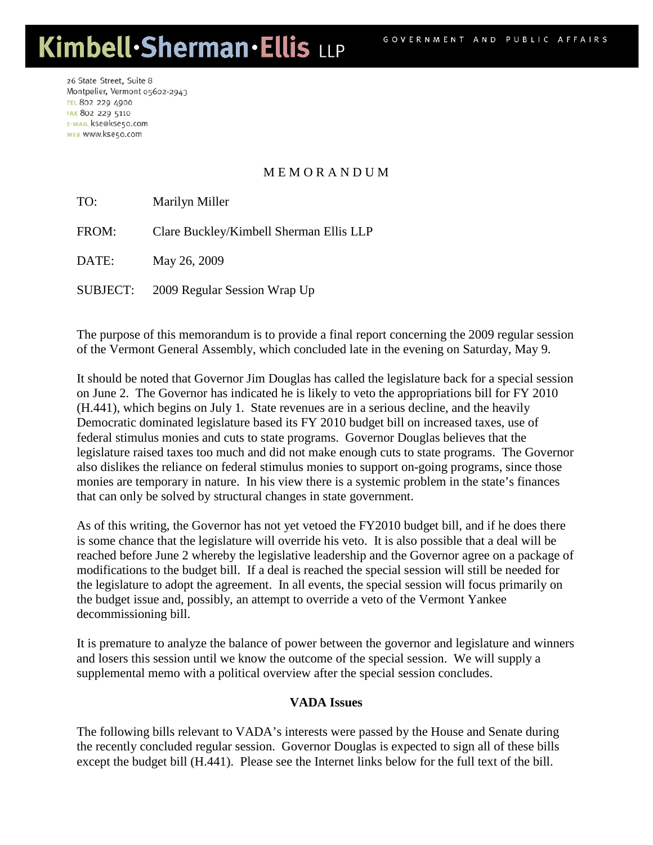## Kimbell·Sherman·Ellis LLP

26 State Street, Suite 8 Montpelier, Vermont 05602-2943 **TEL 802 229 4900** FAX 802 229 5110 E-MAIL kse@kse50.com WEB WWW.kse50.com

## M E M O R A N D U M

TO: Marilyn Miller

FROM: Clare Buckley/Kimbell Sherman Ellis LLP

DATE: May 26, 2009

SUBJECT: 2009 Regular Session Wrap Up

The purpose of this memorandum is to provide a final report concerning the 2009 regular session of the Vermont General Assembly, which concluded late in the evening on Saturday, May 9.

It should be noted that Governor Jim Douglas has called the legislature back for a special session on June 2. The Governor has indicated he is likely to veto the appropriations bill for FY 2010 (H.441), which begins on July 1. State revenues are in a serious decline, and the heavily Democratic dominated legislature based its FY 2010 budget bill on increased taxes, use of federal stimulus monies and cuts to state programs. Governor Douglas believes that the legislature raised taxes too much and did not make enough cuts to state programs. The Governor also dislikes the reliance on federal stimulus monies to support on-going programs, since those monies are temporary in nature. In his view there is a systemic problem in the state's finances that can only be solved by structural changes in state government.

As of this writing, the Governor has not yet vetoed the FY2010 budget bill, and if he does there is some chance that the legislature will override his veto. It is also possible that a deal will be reached before June 2 whereby the legislative leadership and the Governor agree on a package of modifications to the budget bill. If a deal is reached the special session will still be needed for the legislature to adopt the agreement. In all events, the special session will focus primarily on the budget issue and, possibly, an attempt to override a veto of the Vermont Yankee decommissioning bill.

It is premature to analyze the balance of power between the governor and legislature and winners and losers this session until we know the outcome of the special session. We will supply a supplemental memo with a political overview after the special session concludes.

## **VADA Issues**

The following bills relevant to VADA's interests were passed by the House and Senate during the recently concluded regular session. Governor Douglas is expected to sign all of these bills except the budget bill (H.441). Please see the Internet links below for the full text of the bill.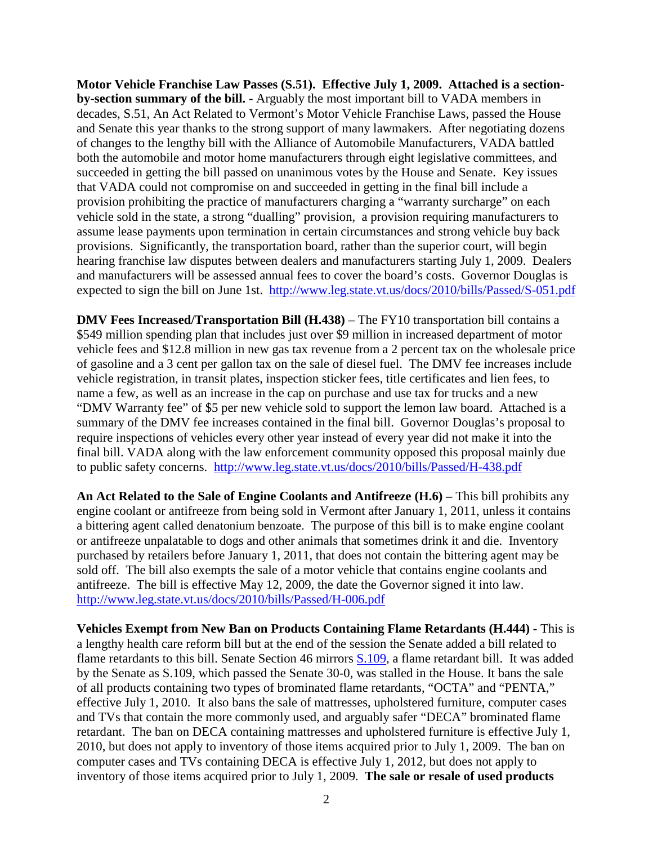**Motor Vehicle Franchise Law Passes (S.51). Effective July 1, 2009. Attached is a sectionby-section summary of the bill. -** Arguably the most important bill to VADA members in decades, S.51, An Act Related to Vermont's Motor Vehicle Franchise Laws, passed the House and Senate this year thanks to the strong support of many lawmakers. After negotiating dozens of changes to the lengthy bill with the Alliance of Automobile Manufacturers, VADA battled both the automobile and motor home manufacturers through eight legislative committees, and succeeded in getting the bill passed on unanimous votes by the House and Senate. Key issues that VADA could not compromise on and succeeded in getting in the final bill include a provision prohibiting the practice of manufacturers charging a "warranty surcharge" on each vehicle sold in the state, a strong "dualling" provision, a provision requiring manufacturers to assume lease payments upon termination in certain circumstances and strong vehicle buy back provisions. Significantly, the transportation board, rather than the superior court, will begin hearing franchise law disputes between dealers and manufacturers starting July 1, 2009. Dealers and manufacturers will be assessed annual fees to cover the board's costs. Governor Douglas is expected to sign the bill on June 1st. <http://www.leg.state.vt.us/docs/2010/bills/Passed/S-051.pdf>

**DMV Fees Increased/Transportation Bill (H.438)** – The FY10 transportation bill contains a \$549 million spending plan that includes just over \$9 million in increased department of motor vehicle fees and \$12.8 million in new gas tax revenue from a 2 percent tax on the wholesale price of gasoline and a 3 cent per gallon tax on the sale of diesel fuel. The DMV fee increases include vehicle registration, in transit plates, inspection sticker fees, title certificates and lien fees, to name a few, as well as an increase in the cap on purchase and use tax for trucks and a new "DMV Warranty fee" of \$5 per new vehicle sold to support the lemon law board. Attached is a summary of the DMV fee increases contained in the final bill. Governor Douglas's proposal to require inspections of vehicles every other year instead of every year did not make it into the final bill. VADA along with the law enforcement community opposed this proposal mainly due to public safety concerns. <http://www.leg.state.vt.us/docs/2010/bills/Passed/H-438.pdf>

**An Act Related to the Sale of Engine Coolants and Antifreeze (H.6) –** This bill prohibits any engine coolant or antifreeze from being sold in Vermont after January 1, 2011, unless it contains a bittering agent called denatonium benzoate. The purpose of this bill is to make engine coolant or antifreeze unpalatable to dogs and other animals that sometimes drink it and die. Inventory purchased by retailers before January 1, 2011, that does not contain the bittering agent may be sold off. The bill also exempts the sale of a motor vehicle that contains engine coolants and antifreeze. The bill is effective May 12, 2009, the date the Governor signed it into law. <http://www.leg.state.vt.us/docs/2010/bills/Passed/H-006.pdf>

**Vehicles Exempt from New Ban on Products Containing Flame Retardants (H.444) -** This is a lengthy health care reform bill but at the end of the session the Senate added a bill related to flame retardants to this bill. Senate Section 46 mirrors [S.109,](http://www.leg.state.vt.us/docs/2010/bills/Senate/S-109.pdf) a flame retardant bill. It was added by the Senate as S.109, which passed the Senate 30-0, was stalled in the House. It bans the sale of all products containing two types of brominated flame retardants, "OCTA" and "PENTA," effective July 1, 2010. It also bans the sale of mattresses, upholstered furniture, computer cases and TVs that contain the more commonly used, and arguably safer "DECA" brominated flame retardant. The ban on DECA containing mattresses and upholstered furniture is effective July 1, 2010, but does not apply to inventory of those items acquired prior to July 1, 2009. The ban on computer cases and TVs containing DECA is effective July 1, 2012, but does not apply to inventory of those items acquired prior to July 1, 2009. **The sale or resale of used products**